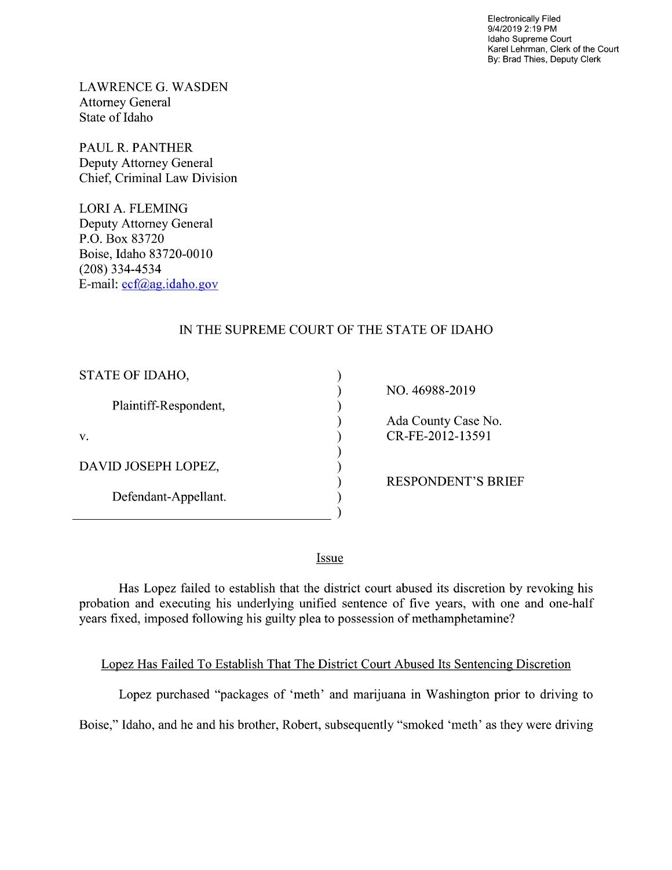Electronically Filed 9/4/2019 2:19 PM Idaho Supreme Court Karel Lehrman, Clerk of the Court By: Brad Thies, Deputy Clerk

LAWRENCE G. WASDEN Attorney General State of Idaho

PAUL R. PANTHER Deputy Attorney General Chief, Criminal Law Division

LORI A. FLEMING Deputy Attorney General P.O. Box 83720 Boise, Idaho 83720-0010 (208) 334—4534 E—mail: ecf@ag.idaho.gov

## IN THE SUPREME COURT OF THE STATE OF IDAHO

| NO. 46988-2019            |
|---------------------------|
|                           |
| Ada County Case No.       |
| CR-FE-2012-13591          |
|                           |
|                           |
| <b>RESPONDENT'S BRIEF</b> |
|                           |
|                           |
|                           |

**Issue** 

Has Lopez failed to establish that the district court abused its discretion by revoking his probation and executing his underlying unified sentence of five years, With one and one-half years fixed, imposed following his guilty plea to possession of methamphetamine?

Lopez Has Failed To Establish That The District Court Abused Its Sentencing Discretion

Lopez purchased "packages of 'meth' and marijuana in Washington prior to driving to

Boise," Idaho, and he and his brother, Robert, subsequently "smoked 'meth' as they were driving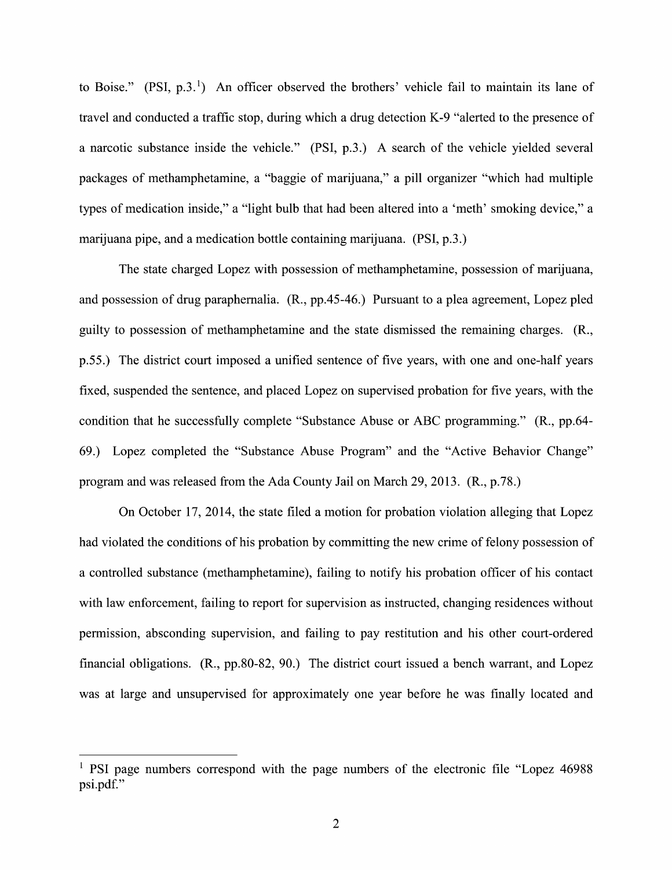to Boise."  $(PSI, p.3.1)$  An officer observed the brothers' vehicle fail to maintain its lane of travel and conducted a traffic stop, during which a drug detection K-9 "alerted to the presence of a narcotic substance inside the vehicle." (PSI, p.3.) A search of the vehicle yielded several packages of methamphetamine, a "baggie of marijuana," a pill organizer "which had multiple types of medication inside," a "light bulb that had been altered into a 'meth' smoking device," a marijuana pipe, and a medication bottle containing marijuana. (PSI, p.3.)

The state charged Lopez with possession of methamphetamine, possession of marijuana, and possession of drug paraphernalia. (R., pp.45-46.) Pursuant to a plea agreement, Lopez pled guilty t0 possession 0f methamphetamine and the state dismissed the remaining charges. (R., p.55.) The district court imposed a unified sentence of five years, with one and one-half years fixed, suspended the sentence, and placed Lopez on supervised probation for five years, with the condition that he successfully complete "Substance Abuse 0r ABC programming." (R., pp.64- 69.) Lopez completed the "Substance Abuse Program" and the "Active Behavior Change" program and was released from the Ada County Jail on March 29, 2013. (R., p.78.)

On October 17, 2014, the state filed a motion for probation violation alleging that Lopez had violated the conditions of his probation by committing the new crime of felony possession of controlled substance (methamphetamine), failing to notify his probation officer of his contact with law enforcement, failing to report for supervision as instructed, changing residences without permission, absconding supervision, and failing to pay restitution and his other court-ordered financial obligations.  $(R., pp.80-82, 90.)$  The district court issued a bench warrant, and Lopez was at large and unsupervised for approximately one year before he was finally located and

<sup>&</sup>lt;sup>1</sup> PSI page numbers correspond with the page numbers of the electronic file "Lopez 46988" psi.pdf."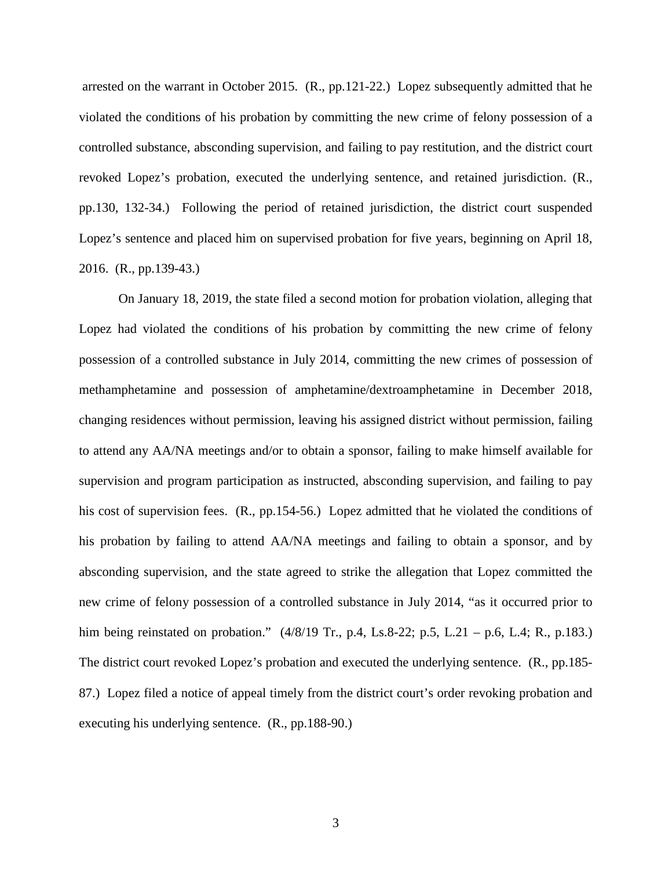arrested on the warrant in October 2015. (R., pp.121-22.) Lopez subsequently admitted that he violated the conditions of his probation by committing the new crime of felony possession of a controlled substance, absconding supervision, and failing to pay restitution, and the district court revoked Lopez's probation, executed the underlying sentence, and retained jurisdiction. (R., pp.130, 132-34.) Following the period of retained jurisdiction, the district court suspended Lopez's sentence and placed him on supervised probation for five years, beginning on April 18, 2016. (R., pp.139-43.)

On January 18, 2019, the state filed a second motion for probation violation, alleging that Lopez had violated the conditions of his probation by committing the new crime of felony possession of a controlled substance in July 2014, committing the new crimes of possession of methamphetamine and possession of amphetamine/dextroamphetamine in December 2018, changing residences without permission, leaving his assigned district without permission, failing to attend any AA/NA meetings and/or to obtain a sponsor, failing to make himself available for supervision and program participation as instructed, absconding supervision, and failing to pay his cost of supervision fees. (R., pp.154-56.) Lopez admitted that he violated the conditions of his probation by failing to attend AA/NA meetings and failing to obtain a sponsor, and by absconding supervision, and the state agreed to strike the allegation that Lopez committed the new crime of felony possession of a controlled substance in July 2014, "as it occurred prior to him being reinstated on probation." (4/8/19 Tr., p.4, Ls.8-22; p.5, L.21 – p.6, L.4; R., p.183.) The district court revoked Lopez's probation and executed the underlying sentence. (R., pp.185- 87.) Lopez filed a notice of appeal timely from the district court's order revoking probation and executing his underlying sentence. (R., pp.188-90.)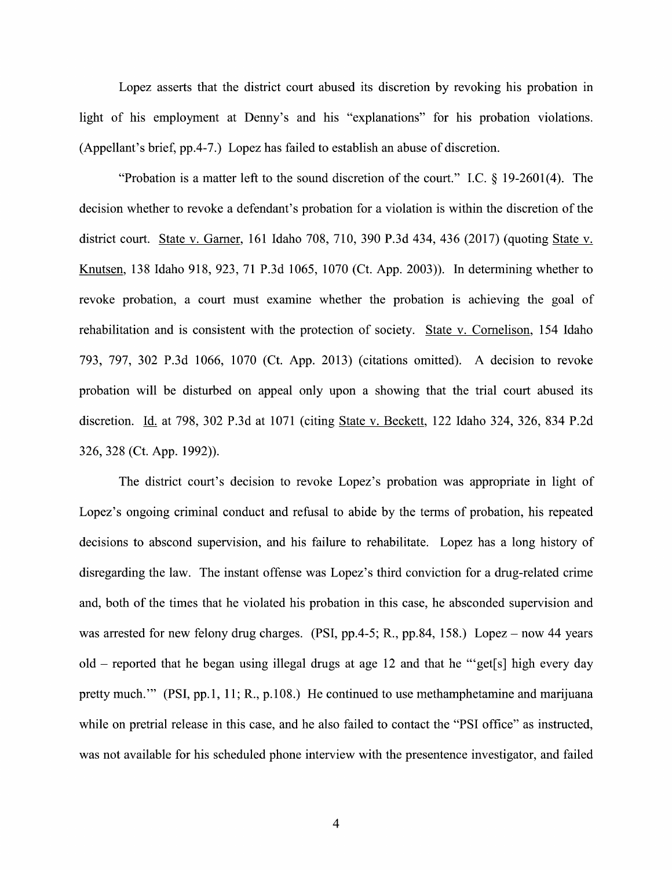Lopez asserts that the district court abused its discretion by revoking his probation in light of his employment at Denny's and his "explanations" for his probation violations. (Appellant's brief, pp.4-7.) Lopez has failed t0 establish an abuse 0f discretion.

"Probation is a matter left to the sound discretion of the court." I.C.  $\S$  19-2601(4). The decision whether to revoke a defendant's probation for a violation is within the discretion of the district court. State v. Garner, 161 Idaho 708, 710, 390 P.3d 434, 436 (2017) (quoting State v.<br>Knutsen, 138 Idaho 918, 923, 71 P.3d 1065, 1070 (Ct. App. 2003)). In determining whether to revoke probation, a court must examine Whether the probation is achieving the goal 0f rehabilitation and is consistent with the protection of society. State v. Cornelison, 154 Idaho 793, 797, 302 P.3d 1066, 1070 (Ct. App. 2013) (citations omitted). A decision to revoke probation will be disturbed on appeal only upon a showing that the trial court abused its discretion. Id. at 798, 302 P.3d at 1071 (citing State v. Beckett, 122 Idaho 324, 326, 834 P.2d 326, 328 (Ct. App. 1992)).

The district court's decision to revoke Lopez's probation was appropriate in light of Lopez's ongoing criminal conduct and refusal to abide by the terms of probation, his repeated decisions to abscond supervision, and his failure to rehabilitate. Lopez has a long history of disregarding the law. The instant offense was Lopez's third conviction for a drug-related crime and, both of the times that he violated his probation in this case, he absconded supervision and was arrested for new felony drug charges. (PSI, pp.4-5; R., pp.84, 158.) Lopez – now 44 years  $od-d$  reported that he began using illegal drugs at age 12 and that he "get[s] high every day pretty much."' (PSI, pp.1, 11; R., p.108.) He continued to use methamphetamine and marijuana while on pretrial release in this case, and he also failed to contact the "PSI office" as instructed, was not available for his scheduled phone interview With the presentence investigator, and failed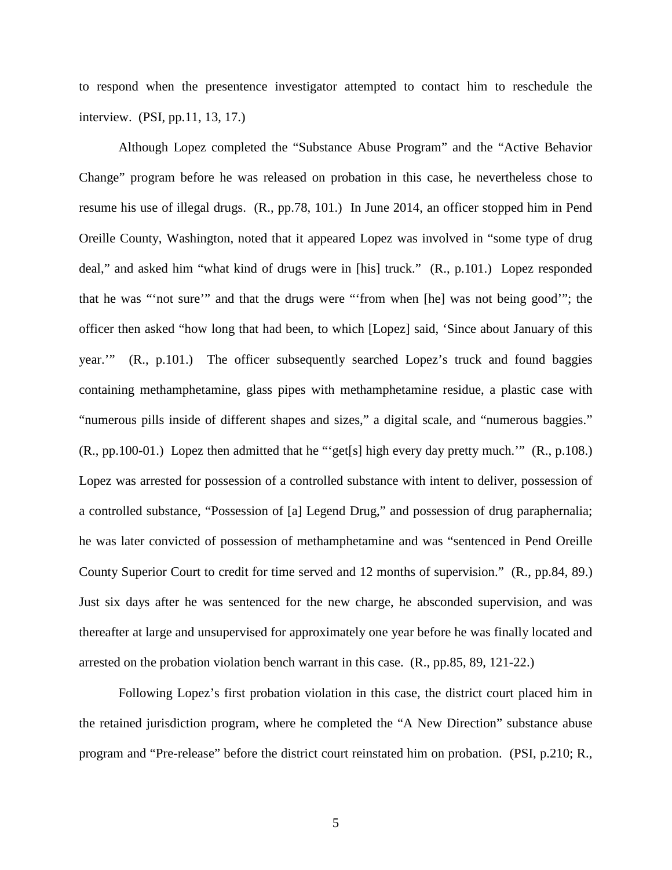to respond when the presentence investigator attempted to contact him to reschedule the interview. (PSI, pp.11, 13, 17.)

Although Lopez completed the "Substance Abuse Program" and the "Active Behavior Change" program before he was released on probation in this case, he nevertheless chose to resume his use of illegal drugs. (R., pp.78, 101.) In June 2014, an officer stopped him in Pend Oreille County, Washington, noted that it appeared Lopez was involved in "some type of drug deal," and asked him "what kind of drugs were in [his] truck." (R., p.101.) Lopez responded that he was "'not sure'" and that the drugs were "'from when [he] was not being good'"; the officer then asked "how long that had been, to which [Lopez] said, 'Since about January of this year.'" (R., p.101.) The officer subsequently searched Lopez's truck and found baggies containing methamphetamine, glass pipes with methamphetamine residue, a plastic case with "numerous pills inside of different shapes and sizes," a digital scale, and "numerous baggies." (R., pp.100-01.) Lopez then admitted that he "'get[s] high every day pretty much.'" (R., p.108.) Lopez was arrested for possession of a controlled substance with intent to deliver, possession of a controlled substance, "Possession of [a] Legend Drug," and possession of drug paraphernalia; he was later convicted of possession of methamphetamine and was "sentenced in Pend Oreille County Superior Court to credit for time served and 12 months of supervision." (R., pp.84, 89.) Just six days after he was sentenced for the new charge, he absconded supervision, and was thereafter at large and unsupervised for approximately one year before he was finally located and arrested on the probation violation bench warrant in this case. (R., pp.85, 89, 121-22.)

Following Lopez's first probation violation in this case, the district court placed him in the retained jurisdiction program, where he completed the "A New Direction" substance abuse program and "Pre-release" before the district court reinstated him on probation. (PSI, p.210; R.,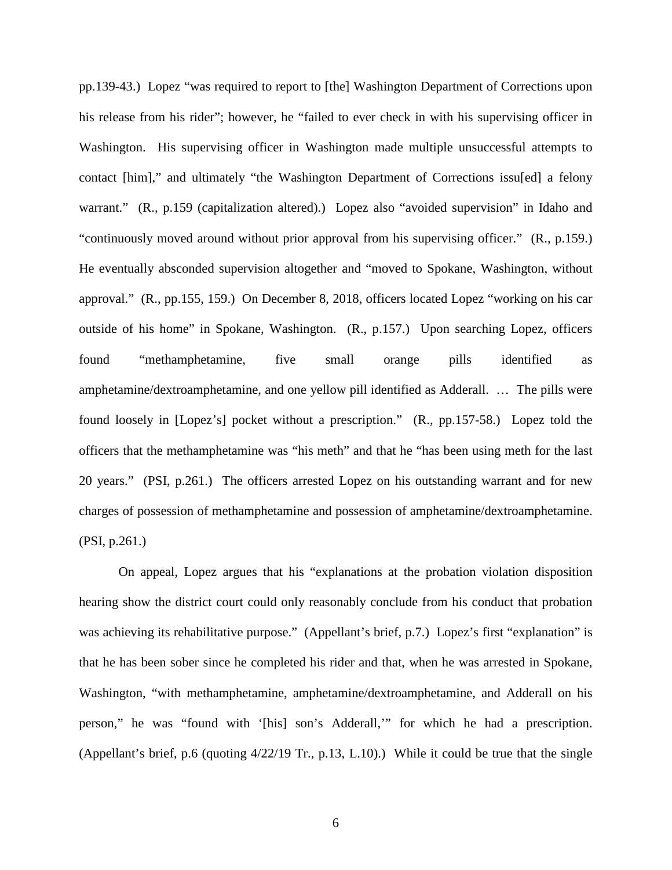pp.139-43.) Lopez "was required to report to [the] Washington Department of Corrections upon his release from his rider"; however, he "failed to ever check in with his supervising officer in Washington. His supervising officer in Washington made multiple unsuccessful attempts to contact [him]," and ultimately "the Washington Department of Corrections issu[ed] a felony warrant." (R., p.159 (capitalization altered).) Lopez also "avoided supervision" in Idaho and "continuously moved around without prior approval from his supervising officer." (R., p.159.) He eventually absconded supervision altogether and "moved to Spokane, Washington, without approval." (R., pp.155, 159.) On December 8, 2018, officers located Lopez "working on his car outside of his home" in Spokane, Washington. (R., p.157.) Upon searching Lopez, officers found "methamphetamine, five small orange pills identified as amphetamine/dextroamphetamine, and one yellow pill identified as Adderall. … The pills were found loosely in [Lopez's] pocket without a prescription." (R., pp.157-58.) Lopez told the officers that the methamphetamine was "his meth" and that he "has been using meth for the last 20 years." (PSI, p.261.) The officers arrested Lopez on his outstanding warrant and for new charges of possession of methamphetamine and possession of amphetamine/dextroamphetamine. (PSI, p.261.)

On appeal, Lopez argues that his "explanations at the probation violation disposition hearing show the district court could only reasonably conclude from his conduct that probation was achieving its rehabilitative purpose." (Appellant's brief, p.7.) Lopez's first "explanation" is that he has been sober since he completed his rider and that, when he was arrested in Spokane, Washington, "with methamphetamine, amphetamine/dextroamphetamine, and Adderall on his person," he was "found with '[his] son's Adderall,'" for which he had a prescription. (Appellant's brief, p.6 (quoting 4/22/19 Tr., p.13, L.10).) While it could be true that the single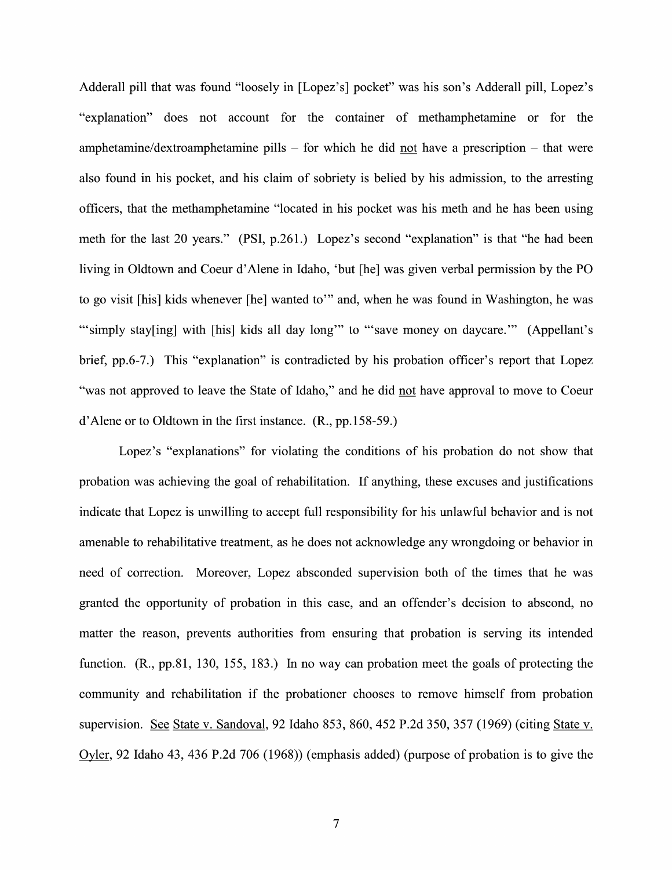Adderall pill that was found "loosely in [Lopez's] pocket" was his son's Adderall pill, Lopez's "explanation" does not account for the container of methamphetamine 0r for the amphetamine/dextroamphetamine pills  $-$  for which he did not have a prescription  $-$  that were also found in his pocket, and his claim of sobriety is belied by his admission, t0 the arresting officers, that the methamphetamine "located in his pocket was his meth and he has been using meth for the last 20 years." (PSI, p.261.) Lopez's second "explanation" is that "he had been living in Oldtown and Coeur d'Alene in Idaho, 'but [he] was given verbal permission by the PO to go visit [his] kids whenever [he] wanted to" and, when he was found in Washington, he was "'simply stay[ing] with [his] kids all day long" to "'save money on daycare." (Appellant's brief, pp.6-7.) This "explanation" is contradicted by his probation officer's report that Lopez "was not approved to leave the State of Idaho," and he did not have approval to move to Coeur d'Alene or to Oldtown in the first instance. (R., pp.158—59.)

Lopez's "explanations" for violating the conditions of his probation do not show that probation was achieving the goal of rehabilitation. If anything, these excuses and justifications indicate that Lopez is unwilling to accept full responsibility for his unlawful behavior and is not amenable to rehabilitative treatment, as he does not acknowledge any wrongdoing or behavior in need 0f correction. Moreover, Lopez absconded supervision both 0f the times that he was granted the opportunity of probation in this case, and an offender's decision to abscond, no matter the reason, prevents authorities from ensuring that probation is serving its intended function.  $(R., pp.81, 130, 155, 183.)$  In no way can probation meet the goals of protecting the community and rehabilitation if the probationer chooses to remove himself from probation supervision. See State v. Sandoval, 92 Idaho 853, 860, 452 P.2d 350, 357 (1969) (citing State v. Oyler, 92 Idaho 43, 436 P.2d 706 (1968)) (emphasis added) (purpose 0f probation is to give the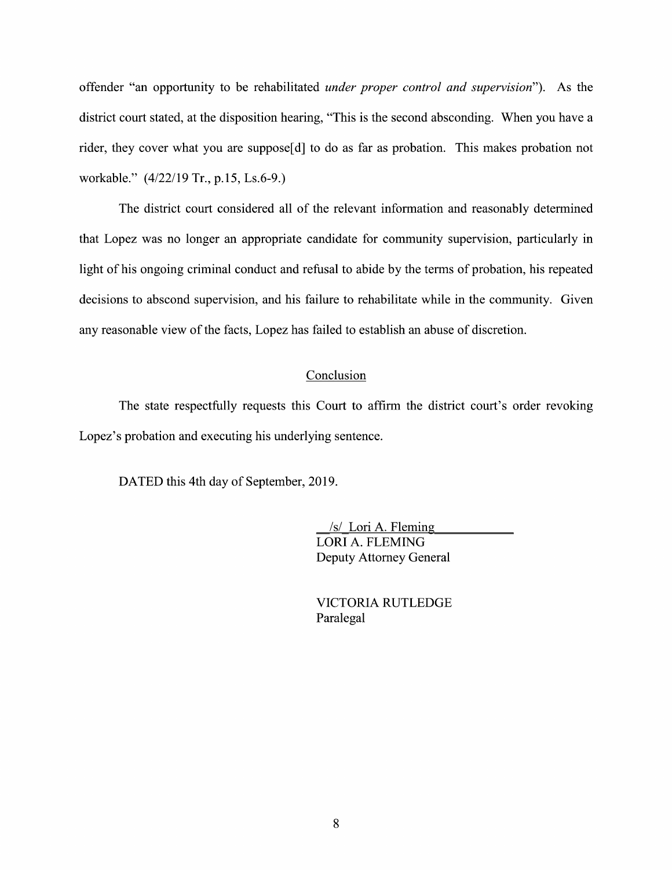offender "an opportunity to be rehabilitated *under proper control and supervision*"). As the district court stated, at the disposition hearing, "This is the second absconding. When you have a rider, they cover what you are suppose[d] to do as far as probation. This makes probation not workable." (4/22/19 Tr., p.15, Ls.6-9.)

The district court considered all 0f the relevant information and reasonably determined that Lopez was no longer an appropriate candidate for community supervision, particularly in light of his ongoing criminal conduct and refusal to abide by the terms of probation, his repeated decisions to abscond supervision, and his failure to rehabilitate while in the community. Given any reasonable view of the facts, Lopez has failed to establish an abuse of discretion.

## **Conclusion**

The state respectfully requests this Court to affirm the district court's order revoking Lopez's probation and executing his underlying sentence.

DATED this 4th day 0f September, 2019.

 $/s$  Lori A. Fleming LORI A. FLEMING Deputy Attorney General

VICTORIA RUTLEDGE Paralegal